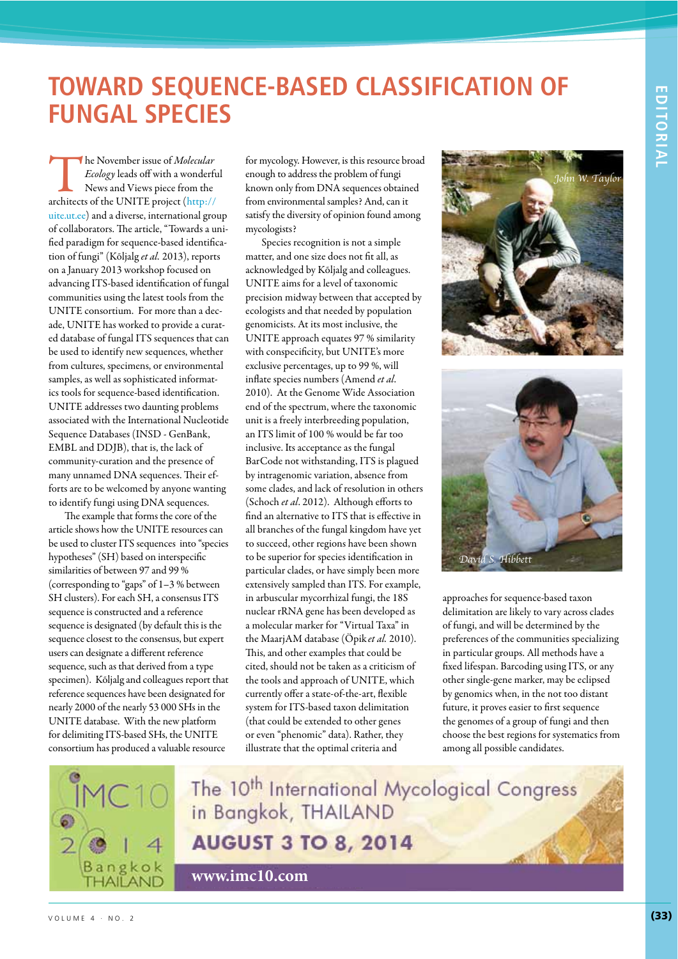## **TOWARD SEQUENCE-BASED CLASSIFICATION OF FUNGAL SPECIES**

The November issue of *Molecular*<br> *Ecology* leads off with a wonderfunction<br>
News and Views piece from the<br>
architects of the UNITE project (http:// Ecology leads off with a wonderful News and Views piece from the uite.ut.ee) and a diverse, international group of collaborators. The article, "Towards a unified paradigm for sequence-based identification of fungi" (Kõljalg et al. 2013), reports on a January 2013 workshop focused on advancing ITS-based identification of fungal communities using the latest tools from the UNITE consortium. For more than a decade, UNITE has worked to provide a curated database of fungal ITS sequences that can be used to identify new sequences, whether from cultures, specimens, or environmental samples, as well as sophisticated informatics tools for sequence-based identification. UNITE addresses two daunting problems associated with the International Nucleotide Sequence Databases (INSD - GenBank, EMBL and DDJB), that is, the lack of community-curation and the presence of many unnamed DNA sequences. Their efforts are to be welcomed by anyone wanting to identify fungi using DNA sequences.

The example that forms the core of the article shows how the UNITE resources can be used to cluster ITS sequences into "species hypotheses" (SH) based on interspecific similarities of between 97 and 99 % (corresponding to "gaps" of 1–3 % between SH clusters). For each SH, a consensus ITS sequence is constructed and a reference sequence is designated (by default this is the sequence closest to the consensus, but expert users can designate a different reference sequence, such as that derived from a type specimen). Kõljalg and colleagues report that reference sequences have been designated for nearly 2000 of the nearly 53 000 SHs in the UNITE database. With the new platform for delimiting ITS-based SHs, the UNITE consortium has produced a valuable resource

for mycology. However, is this resource broad enough to address the problem of fungi known only from DNA sequences obtained from environmental samples? And, can it satisfy the diversity of opinion found among mycologists?

Species recognition is not a simple matter, and one size does not fit all, as acknowledged by Kõljalg and colleagues. UNITE aims for a level of taxonomic precision midway between that accepted by ecologists and that needed by population genomicists. At its most inclusive, the UNITE approach equates 97 % similarity with conspecificity, but UNITE's more exclusive percentages, up to 99 %, will inflate species numbers (Amend et al. 2010). At the Genome Wide Association end of the spectrum, where the taxonomic unit is a freely interbreeding population, an ITS limit of 100 % would be far too inclusive. Its acceptance as the fungal BarCode not withstanding, ITS is plagued by intragenomic variation, absence from some clades, and lack of resolution in others (Schoch et al. 2012). Although efforts to find an alternative to ITS that is effective in all branches of the fungal kingdom have yet to succeed, other regions have been shown to be superior for species identification in particular clades, or have simply been more extensively sampled than ITS. For example, in arbuscular mycorrhizal fungi, the 18S nuclear rRNA gene has been developed as a molecular marker for "Virtual Taxa" in the MaarjAM database (Öpik et al. 2010). This, and other examples that could be cited, should not be taken as a criticism of the tools and approach of UNITE, which currently offer a state-of-the-art, flexible system for ITS-based taxon delimitation (that could be extended to other genes or even "phenomic" data). Rather, they illustrate that the optimal criteria and





approaches for sequence-based taxon delimitation are likely to vary across clades of fungi, and will be determined by the preferences of the communities specializing in particular groups. All methods have a fixed lifespan. Barcoding using ITS, or any other single-gene marker, may be eclipsed by genomics when, in the not too distant future, it proves easier to first sequence the genomes of a group of fungi and then choose the best regions for systematics from among all possible candidates.



The 10<sup>th</sup> International Mycological Congress in Bangkok, THAILAND **AUGUST 3 TO 8, 2014** 

**www.imc10.com**